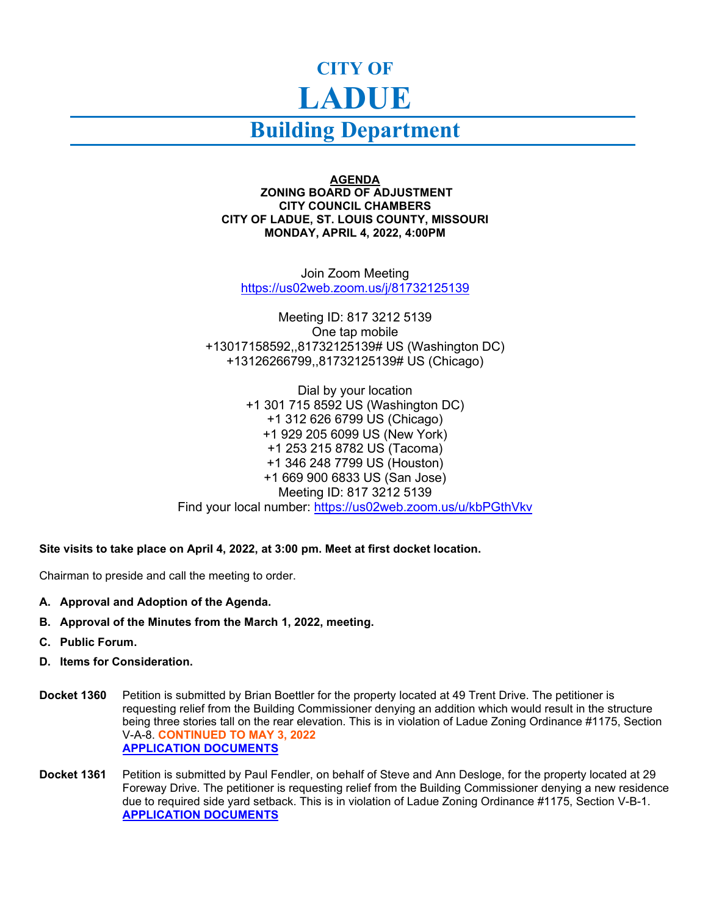## **CITY OF LADUE**

## **Building Department**

**AGENDA ZONING BOARD OF ADJUSTMENT CITY COUNCIL CHAMBERS CITY OF LADUE, ST. LOUIS COUNTY, MISSOURI MONDAY, APRIL 4, 2022, 4:00PM**

Join Zoom Meeting <https://us02web.zoom.us/j/81732125139>

Meeting ID: 817 3212 5139 One tap mobile +13017158592,,81732125139# US (Washington DC) +13126266799,,81732125139# US (Chicago)

Dial by your location +1 301 715 8592 US (Washington DC) +1 312 626 6799 US (Chicago) +1 929 205 6099 US (New York) +1 253 215 8782 US (Tacoma) +1 346 248 7799 US (Houston) +1 669 900 6833 US (San Jose) Meeting ID: 817 3212 5139 Find your local number:<https://us02web.zoom.us/u/kbPGthVkv>

**Site visits to take place on April 4, 2022, at 3:00 pm. Meet at first docket location.**

Chairman to preside and call the meeting to order.

- **A. Approval and Adoption of the Agenda.**
- **B. Approval of the Minutes from the March 1, 2022, meeting.**
- **C. Public Forum.**
- **D. Items for Consideration.**
- **Docket 1360** Petition is submitted by Brian Boettler for the property located at 49 Trent Drive. The petitioner is requesting relief from the Building Commissioner denying an addition which would result in the structure being three stories tall on the rear elevation. This is in violation of Ladue Zoning Ordinance #1175, Section V-A-8. **CONTINUED TO MAY 3, 2022 [APPLICATION DOCUMENTS](https://www.cityofladue-mo.gov/mm/files/ZBA%2049%20trent%204-4-22.pdf)**
- **Docket 1361** Petition is submitted by Paul Fendler, on behalf of Steve and Ann Desloge, for the property located at 29 Foreway Drive. The petitioner is requesting relief from the Building Commissioner denying a new residence due to required side yard setback. This is in violation of Ladue Zoning Ordinance #1175, Section V-B-1. **[APPLICATION DOCUMENTS](https://www.cityofladue-mo.gov/mm/files/ZBA%2029%20Foreway%204-4-22.pdf)**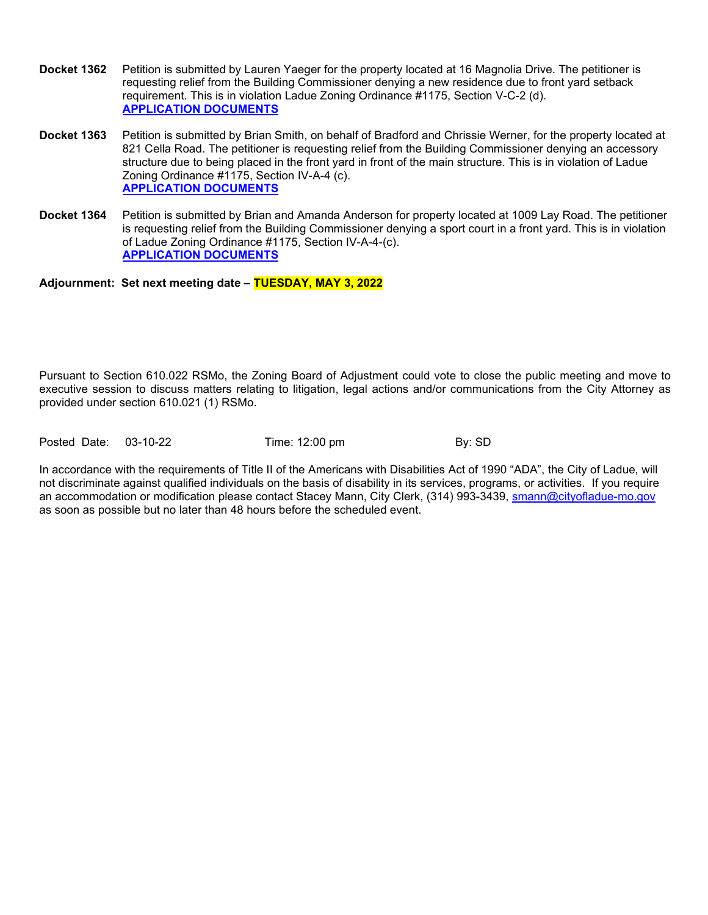- **Docket 1362** Petition is submitted by Lauren Yaeger for the property located at 16 Magnolia Drive. The petitioner is requesting relief from the Building Commissioner denying a new residence due to front yard setback requirement. This is in violation Ladue Zoning Ordinance #1175, Section V-C-2 (d). **[APPLICATION DOCUMENTS](https://www.cityofladue-mo.gov/mm/files/ZBA%2016%20Magnolia%204-4-22.pdf)**
- **Docket 1363** Petition is submitted by Brian Smith, on behalf of Bradford and Chrissie Werner, for the property located at 821 Cella Road. The petitioner is requesting relief from the Building Commissioner denying an accessory structure due to being placed in the front yard in front of the main structure. This is in violation of Ladue Zoning Ordinance #1175, Section IV-A-4 (c). **[APPLICATION DOCUMENTS](https://www.cityofladue-mo.gov/mm/files/ZBA%20821%20Cella%204-4-22.pdf)**
- **Docket 1364** Petition is submitted by Brian and Amanda Anderson for property located at 1009 Lay Road. The petitioner is requesting relief from the Building Commissioner denying a sport court in a front yard. This is in violation of Ladue Zoning Ordinance #1175, Section IV-A-4-(c). **[APPLICATION DOCUMENTS](https://www.cityofladue-mo.gov/mm/files/ZBA%201009%20Lay%20Rd%204-4-22.pdf)**

## **Adjournment: Set next meeting date – TUESDAY, MAY 3, 2022**

Pursuant to Section 610.022 RSMo, the Zoning Board of Adjustment could vote to close the public meeting and move to executive session to discuss matters relating to litigation, legal actions and/or communications from the City Attorney as provided under section 610.021 (1) RSMo.

Posted Date: 03-10-22 Time: 12:00 pm By: SD

In accordance with the requirements of Title II of the Americans with Disabilities Act of 1990 "ADA", the City of Ladue, will not discriminate against qualified individuals on the basis of disability in its services, programs, or activities. If you require an accommodation or modification please contact Stacey Mann, City Clerk, (314) 993-3439, [smann@cityofladue-mo.gov](mailto:smann@cityofladue-mo.gov) as soon as possible but no later than 48 hours before the scheduled event.